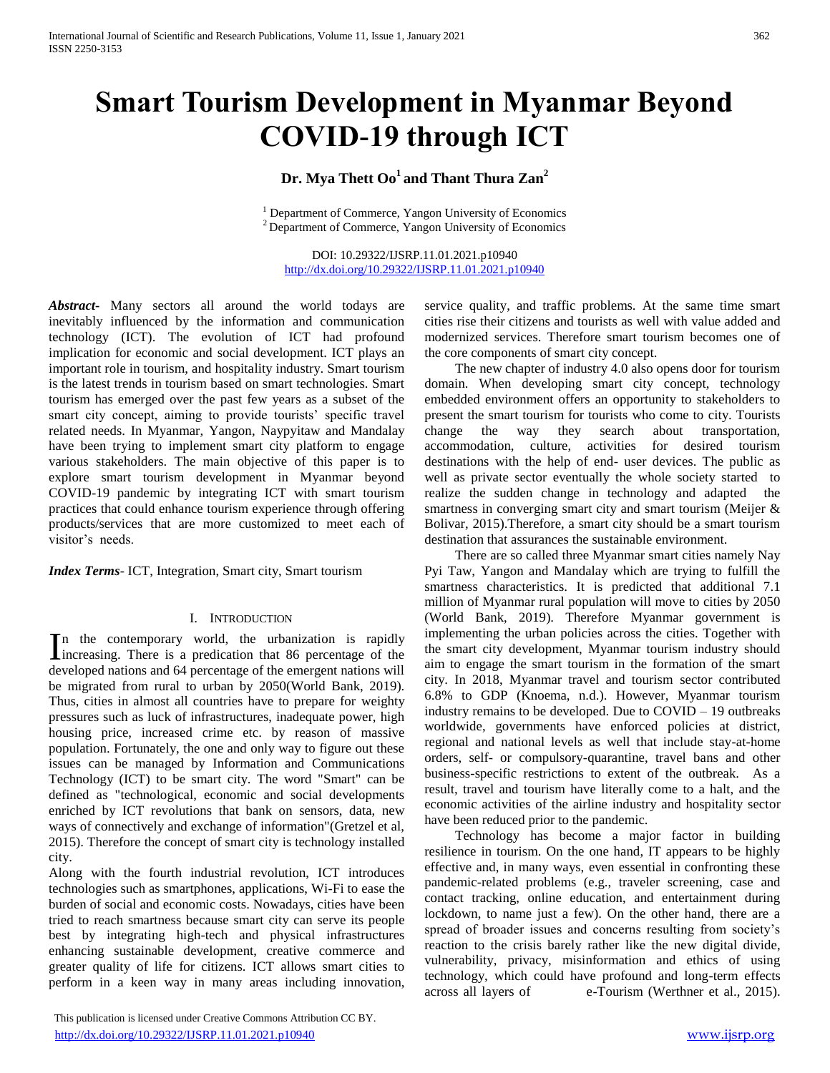# **Smart Tourism Development in Myanmar Beyond COVID-19 through ICT**

# **Dr. Mya Thett Oo<sup>1</sup>and Thant Thura Zan<sup>2</sup>**

<sup>1</sup> Department of Commerce, Yangon University of Economics <sup>2</sup> Department of Commerce, Yangon University of Economics

DOI: 10.29322/IJSRP.11.01.2021.p10940 <http://dx.doi.org/10.29322/IJSRP.11.01.2021.p10940>

*Abstract***-** Many sectors all around the world todays are inevitably influenced by the information and communication technology (ICT). The evolution of ICT had profound implication for economic and social development. ICT plays an important role in tourism, and hospitality industry. Smart tourism is the latest trends in tourism based on smart technologies. Smart tourism has emerged over the past few years as a subset of the smart city concept, aiming to provide tourists' specific travel related needs. In Myanmar, Yangon, Naypyitaw and Mandalay have been trying to implement smart city platform to engage various stakeholders. The main objective of this paper is to explore smart tourism development in Myanmar beyond COVID-19 pandemic by integrating ICT with smart tourism practices that could enhance tourism experience through offering products/services that are more customized to meet each of visitor's needs.

*Index Terms*- ICT, Integration, Smart city, Smart tourism

#### I. INTRODUCTION

n the contemporary world, the urbanization is rapidly In the contemporary world, the urbanization is rapidly increasing. There is a predication that 86 percentage of the developed nations and 64 percentage of the emergent nations will be migrated from rural to urban by 2050(World Bank, 2019). Thus, cities in almost all countries have to prepare for weighty pressures such as luck of infrastructures, inadequate power, high housing price, increased crime etc. by reason of massive population. Fortunately, the one and only way to figure out these issues can be managed by Information and Communications Technology (ICT) to be smart city. The word "Smart" can be defined as "technological, economic and social developments enriched by ICT revolutions that bank on sensors, data, new ways of connectively and exchange of information"(Gretzel et al, 2015). Therefore the concept of smart city is technology installed city.

Along with the fourth industrial revolution, ICT introduces technologies such as smartphones, applications, Wi-Fi to ease the burden of social and economic costs. Nowadays, cities have been tried to reach smartness because smart city can serve its people best by integrating high-tech and physical infrastructures enhancing sustainable development, creative commerce and greater quality of life for citizens. ICT allows smart cities to perform in a keen way in many areas including innovation,

 This publication is licensed under Creative Commons Attribution CC BY. <http://dx.doi.org/10.29322/IJSRP.11.01.2021.p10940> [www.ijsrp.org](http://ijsrp.org/)

service quality, and traffic problems. At the same time smart cities rise their citizens and tourists as well with value added and modernized services. Therefore smart tourism becomes one of the core components of smart city concept.

 The new chapter of industry 4.0 also opens door for tourism domain. When developing smart city concept, technology embedded environment offers an opportunity to stakeholders to present the smart tourism for tourists who come to city. Tourists change the way they search about transportation, accommodation, culture, activities for desired tourism destinations with the help of end- user devices. The public as well as private sector eventually the whole society started to realize the sudden change in technology and adapted the smartness in converging smart city and smart tourism (Meijer & Bolivar, 2015).Therefore, a smart city should be a smart tourism destination that assurances the sustainable environment.

 There are so called three Myanmar smart cities namely Nay Pyi Taw, Yangon and Mandalay which are trying to fulfill the smartness characteristics. It is predicted that additional 7.1 million of Myanmar rural population will move to cities by 2050 (World Bank, 2019). Therefore Myanmar government is implementing the urban policies across the cities. Together with the smart city development, Myanmar tourism industry should aim to engage the smart tourism in the formation of the smart city. In 2018, Myanmar travel and tourism sector contributed 6.8% to GDP (Knoema, n.d.). However, Myanmar tourism industry remains to be developed. Due to COVID – 19 outbreaks worldwide, governments have enforced policies at district, regional and national levels as well that include stay-at-home orders, self- or compulsory-quarantine, travel bans and other business-specific restrictions to extent of the outbreak. As a result, travel and tourism have literally come to a halt, and the economic activities of the airline industry and hospitality sector have been reduced prior to the pandemic.

 Technology has become a major factor in building resilience in tourism. On the one hand, IT appears to be highly effective and, in many ways, even essential in confronting these pandemic-related problems (e.g., traveler screening, case and contact tracking, online education, and entertainment during lockdown, to name just a few). On the other hand, there are a spread of broader issues and concerns resulting from society's reaction to the crisis barely rather like the new digital divide, vulnerability, privacy, misinformation and ethics of using technology, which could have profound and long-term effects across all layers of e-Tourism (Werthner et al., 2015).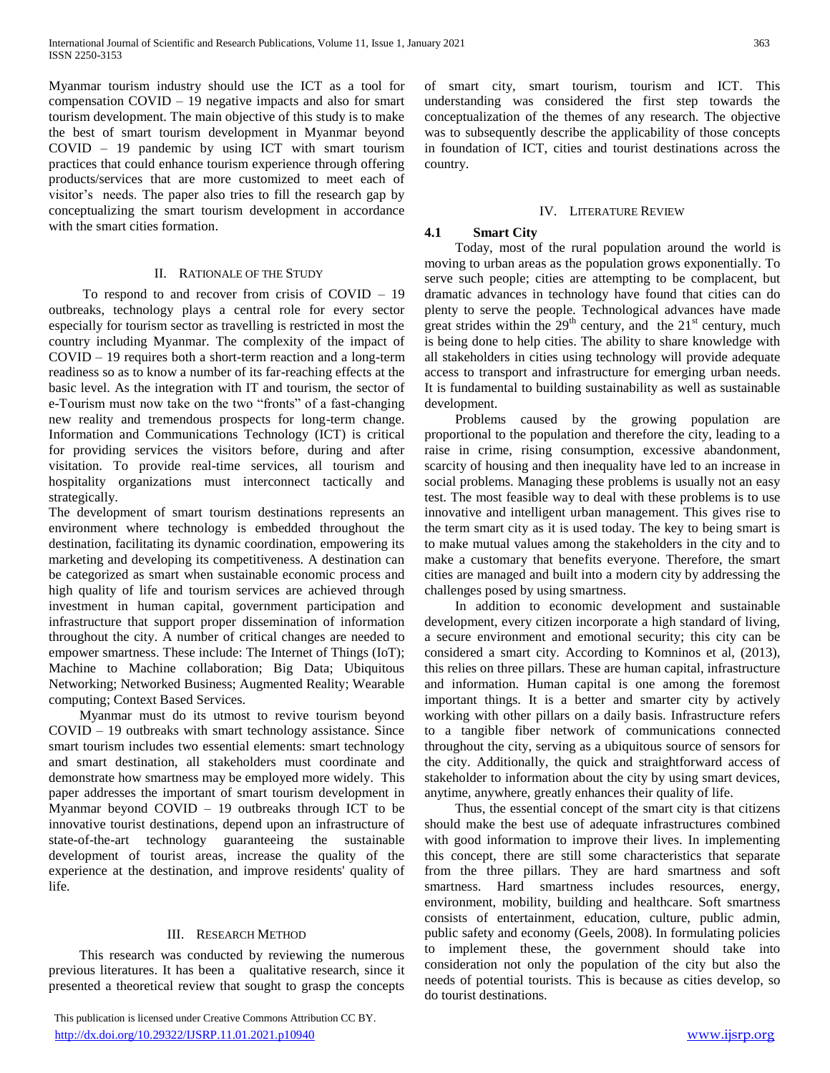Myanmar tourism industry should use the ICT as a tool for compensation COVID – 19 negative impacts and also for smart tourism development. The main objective of this study is to make the best of smart tourism development in Myanmar beyond COVID – 19 pandemic by using ICT with smart tourism practices that could enhance tourism experience through offering products/services that are more customized to meet each of visitor's needs. The paper also tries to fill the research gap by conceptualizing the smart tourism development in accordance with the smart cities formation.

#### II. RATIONALE OF THE STUDY

 To respond to and recover from crisis of COVID – 19 outbreaks, technology plays a central role for every sector especially for tourism sector as travelling is restricted in most the country including Myanmar. The complexity of the impact of COVID – 19 requires both a short-term reaction and a long-term readiness so as to know a number of its far-reaching effects at the basic level. As the integration with IT and tourism, the sector of e-Tourism must now take on the two "fronts" of a fast-changing new reality and tremendous prospects for long-term change. Information and Communications Technology (ICT) is critical for providing services the visitors before, during and after visitation. To provide real-time services, all tourism and hospitality organizations must interconnect tactically and strategically.

The development of smart tourism destinations represents an environment where technology is embedded throughout the destination, facilitating its dynamic coordination, empowering its marketing and developing its competitiveness. A destination can be categorized as smart when sustainable economic process and high quality of life and tourism services are achieved through investment in human capital, government participation and infrastructure that support proper dissemination of information throughout the city. A number of critical changes are needed to empower smartness. These include: The Internet of Things (IoT); Machine to Machine collaboration; Big Data; Ubiquitous Networking; Networked Business; Augmented Reality; Wearable computing; Context Based Services.

 Myanmar must do its utmost to revive tourism beyond COVID – 19 outbreaks with smart technology assistance. Since smart tourism includes two essential elements: smart technology and smart destination, all stakeholders must coordinate and demonstrate how smartness may be employed more widely*.* This paper addresses the important of smart tourism development in Myanmar beyond COVID – 19 outbreaks through ICT to be innovative tourist destinations, depend upon an infrastructure of state-of-the-art technology guaranteeing the sustainable development of tourist areas, increase the quality of the experience at the destination, and improve residents' quality of life.

#### III. RESEARCH METHOD

 This research was conducted by reviewing the numerous previous literatures. It has been a qualitative research, since it presented a theoretical review that sought to grasp the concepts of smart city, smart tourism, tourism and ICT. This understanding was considered the first step towards the conceptualization of the themes of any research. The objective was to subsequently describe the applicability of those concepts in foundation of ICT, cities and tourist destinations across the country.

### IV. LITERATURE REVIEW

## **4.1 Smart City**

 Today, most of the rural population around the world is moving to urban areas as the population grows exponentially. To serve such people; cities are attempting to be complacent, but dramatic advances in technology have found that cities can do plenty to serve the people. Technological advances have made great strides within the  $29<sup>th</sup>$  century, and the  $21<sup>st</sup>$  century, much is being done to help cities. The ability to share knowledge with all stakeholders in cities using technology will provide adequate access to transport and infrastructure for emerging urban needs. It is fundamental to building sustainability as well as sustainable development.

 Problems caused by the growing population are proportional to the population and therefore the city, leading to a raise in crime, rising consumption, excessive abandonment, scarcity of housing and then inequality have led to an increase in social problems. Managing these problems is usually not an easy test. The most feasible way to deal with these problems is to use innovative and intelligent urban management. This gives rise to the term smart city as it is used today. The key to being smart is to make mutual values among the stakeholders in the city and to make a customary that benefits everyone. Therefore, the smart cities are managed and built into a modern city by addressing the challenges posed by using smartness.

 In addition to economic development and sustainable development, every citizen incorporate a high standard of living, a secure environment and emotional security; this city can be considered a smart city. According to Komninos et al, (2013), this relies on three pillars. These are human capital, infrastructure and information. Human capital is one among the foremost important things. It is a better and smarter city by actively working with other pillars on a daily basis. Infrastructure refers to a tangible fiber network of communications connected throughout the city, serving as a ubiquitous source of sensors for the city. Additionally, the quick and straightforward access of stakeholder to information about the city by using smart devices, anytime, anywhere, greatly enhances their quality of life.

 Thus, the essential concept of the smart city is that citizens should make the best use of adequate infrastructures combined with good information to improve their lives. In implementing this concept, there are still some characteristics that separate from the three pillars. They are hard smartness and soft smartness. Hard smartness includes resources, energy, environment, mobility, building and healthcare. Soft smartness consists of entertainment, education, culture, public admin, public safety and economy (Geels, 2008). In formulating policies to implement these, the government should take into consideration not only the population of the city but also the needs of potential tourists. This is because as cities develop, so do tourist destinations.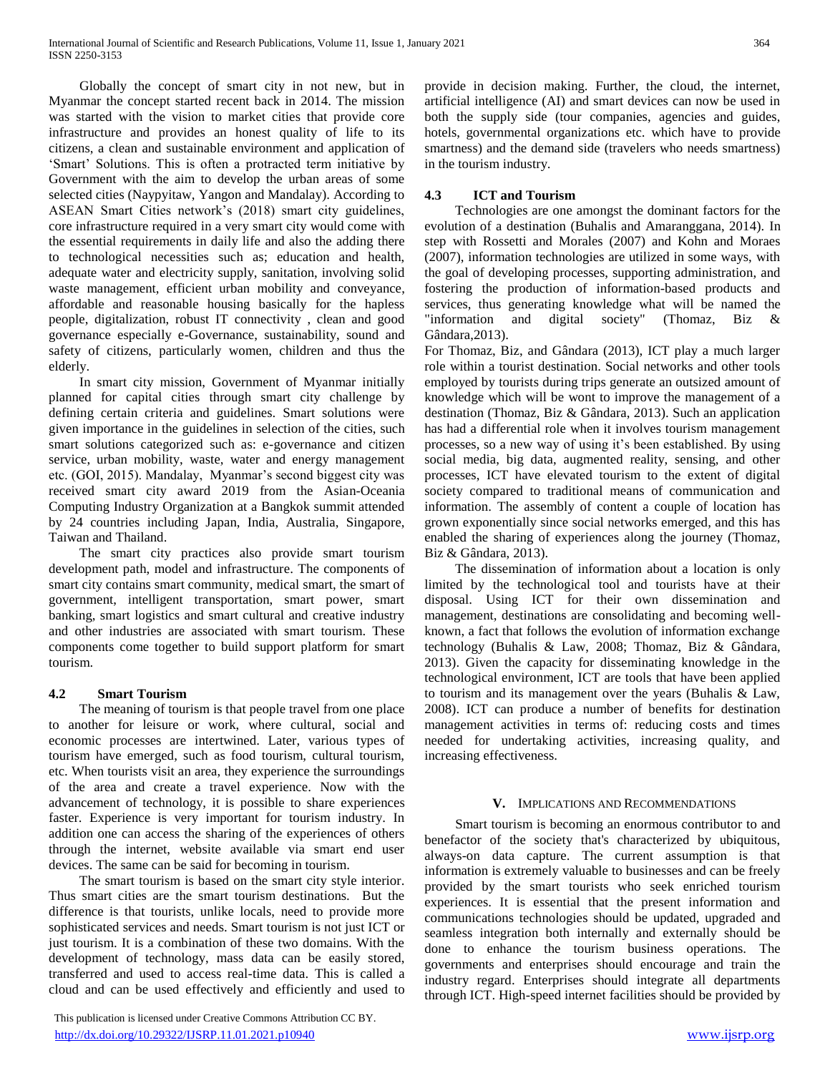Globally the concept of smart city in not new, but in Myanmar the concept started recent back in 2014. The mission was started with the vision to market cities that provide core infrastructure and provides an honest quality of life to its citizens, a clean and sustainable environment and application of 'Smart' Solutions. This is often a protracted term initiative by Government with the aim to develop the urban areas of some selected cities (Naypyitaw, Yangon and Mandalay). According to ASEAN Smart Cities network's (2018) smart city guidelines, core infrastructure required in a very smart city would come with the essential requirements in daily life and also the adding there to technological necessities such as; education and health, adequate water and electricity supply, sanitation, involving solid waste management, efficient urban mobility and conveyance, affordable and reasonable housing basically for the hapless people, digitalization, robust IT connectivity , clean and good governance especially e-Governance, sustainability, sound and safety of citizens, particularly women, children and thus the elderly.

 In smart city mission, Government of Myanmar initially planned for capital cities through smart city challenge by defining certain criteria and guidelines. Smart solutions were given importance in the guidelines in selection of the cities, such smart solutions categorized such as: e-governance and citizen service, urban mobility, waste, water and energy management etc. (GOI, 2015). Mandalay, Myanmar's second biggest city was received smart city award 2019 from the Asian-Oceania Computing Industry Organization at a Bangkok summit attended by 24 countries including Japan, India, Australia, Singapore, Taiwan and Thailand.

 The smart city practices also provide smart tourism development path, model and infrastructure. The components of smart city contains smart community, medical smart, the smart of government, intelligent transportation, smart power, smart banking, smart logistics and smart cultural and creative industry and other industries are associated with smart tourism. These components come together to build support platform for smart tourism.

## **4.2 Smart Tourism**

 The meaning of tourism is that people travel from one place to another for leisure or work, where cultural, social and economic processes are intertwined. Later, various types of tourism have emerged, such as food tourism, cultural tourism, etc. When tourists visit an area, they experience the surroundings of the area and create a travel experience. Now with the advancement of technology, it is possible to share experiences faster. Experience is very important for tourism industry. In addition one can access the sharing of the experiences of others through the internet, website available via smart end user devices. The same can be said for becoming in tourism.

 The smart tourism is based on the smart city style interior. Thus smart cities are the smart tourism destinations. But the difference is that tourists, unlike locals, need to provide more sophisticated services and needs. Smart tourism is not just ICT or just tourism. It is a combination of these two domains. With the development of technology, mass data can be easily stored, transferred and used to access real-time data. This is called a cloud and can be used effectively and efficiently and used to

 This publication is licensed under Creative Commons Attribution CC BY. <http://dx.doi.org/10.29322/IJSRP.11.01.2021.p10940> [www.ijsrp.org](http://ijsrp.org/)

provide in decision making. Further, the cloud, the internet, artificial intelligence (AI) and smart devices can now be used in both the supply side (tour companies, agencies and guides, hotels, governmental organizations etc. which have to provide smartness) and the demand side (travelers who needs smartness) in the tourism industry.

## **4.3 ICT and Tourism**

 Technologies are one amongst the dominant factors for the evolution of a destination (Buhalis and Amaranggana, 2014). In step with Rossetti and Morales (2007) and Kohn and Moraes (2007), information technologies are utilized in some ways, with the goal of developing processes, supporting administration, and fostering the production of information-based products and services, thus generating knowledge what will be named the "information and digital society" (Thomaz, Biz & Gândara,2013).

For Thomaz, Biz, and Gândara (2013), ICT play a much larger role within a tourist destination. Social networks and other tools employed by tourists during trips generate an outsized amount of knowledge which will be wont to improve the management of a destination (Thomaz, Biz & Gândara, 2013). Such an application has had a differential role when it involves tourism management processes, so a new way of using it's been established. By using social media, big data, augmented reality, sensing, and other processes, ICT have elevated tourism to the extent of digital society compared to traditional means of communication and information. The assembly of content a couple of location has grown exponentially since social networks emerged, and this has enabled the sharing of experiences along the journey (Thomaz, Biz & Gândara, 2013).

 The dissemination of information about a location is only limited by the technological tool and tourists have at their disposal. Using ICT for their own dissemination and management, destinations are consolidating and becoming wellknown, a fact that follows the evolution of information exchange technology (Buhalis & Law, 2008; Thomaz, Biz & Gândara, 2013). Given the capacity for disseminating knowledge in the technological environment, ICT are tools that have been applied to tourism and its management over the years (Buhalis & Law, 2008). ICT can produce a number of benefits for destination management activities in terms of: reducing costs and times needed for undertaking activities, increasing quality, and increasing effectiveness.

## **V.** IMPLICATIONS AND RECOMMENDATIONS

 Smart tourism is becoming an enormous contributor to and benefactor of the society that's characterized by ubiquitous, always-on data capture. The current assumption is that information is extremely valuable to businesses and can be freely provided by the smart tourists who seek enriched tourism experiences. It is essential that the present information and communications technologies should be updated, upgraded and seamless integration both internally and externally should be done to enhance the tourism business operations. The governments and enterprises should encourage and train the industry regard. Enterprises should integrate all departments through ICT. High-speed internet facilities should be provided by